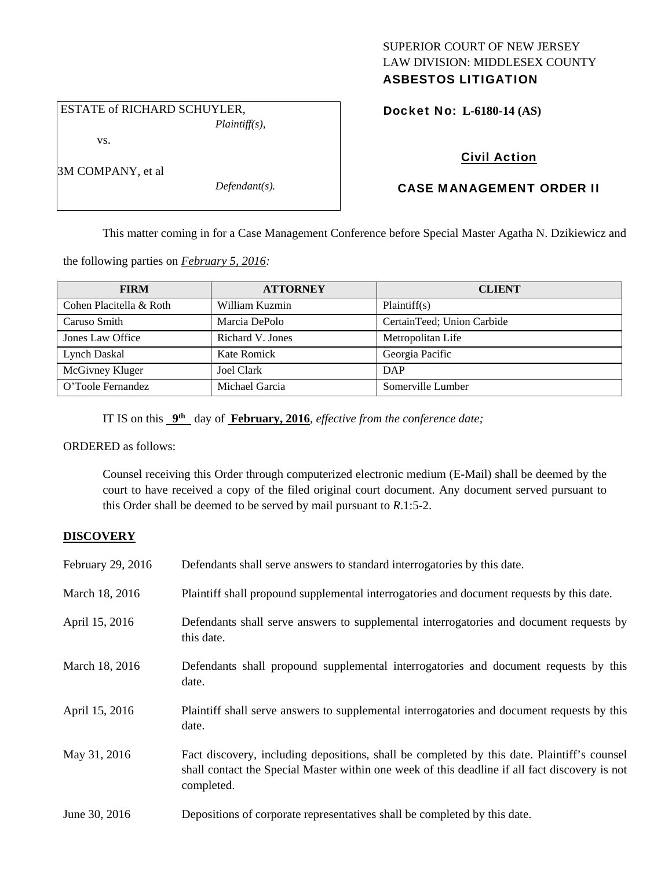# SUPERIOR COURT OF NEW JERSEY LAW DIVISION: MIDDLESEX COUNTY ASBESTOS LITIGATION

 ESTATE of RICHARD SCHUYLER, *Plaintiff(s),* 

vs.

3M COMPANY, et al

*Defendant(s).* 

# Docket No: **L-6180-14 (AS)**

# Civil Action

# CASE MANAGEMENT ORDER II

This matter coming in for a Case Management Conference before Special Master Agatha N. Dzikiewicz and

the following parties on *February 5, 2016:* 

| <b>FIRM</b>             | <b>ATTORNEY</b>   | <b>CLIENT</b>              |
|-------------------------|-------------------|----------------------------|
| Cohen Placitella & Roth | William Kuzmin    | Plaintiff(s)               |
| Caruso Smith            | Marcia DePolo     | CertainTeed; Union Carbide |
| Jones Law Office        | Richard V. Jones  | Metropolitan Life          |
| Lynch Daskal            | Kate Romick       | Georgia Pacific            |
| McGivney Kluger         | <b>Joel Clark</b> | DAP                        |
| O'Toole Fernandez       | Michael Garcia    | Somerville Lumber          |

IT IS on this **9th** day of **February, 2016**, *effective from the conference date;*

ORDERED as follows:

Counsel receiving this Order through computerized electronic medium (E-Mail) shall be deemed by the court to have received a copy of the filed original court document. Any document served pursuant to this Order shall be deemed to be served by mail pursuant to *R*.1:5-2.

# **DISCOVERY**

| February 29, 2016 | Defendants shall serve answers to standard interrogatories by this date.                                                                                                                                    |
|-------------------|-------------------------------------------------------------------------------------------------------------------------------------------------------------------------------------------------------------|
| March 18, 2016    | Plaintiff shall propound supplemental interrogatories and document requests by this date.                                                                                                                   |
| April 15, 2016    | Defendants shall serve answers to supplemental interrogatories and document requests by<br>this date.                                                                                                       |
| March 18, 2016    | Defendants shall propound supplemental interrogatories and document requests by this<br>date.                                                                                                               |
| April 15, 2016    | Plaintiff shall serve answers to supplemental interrogatories and document requests by this<br>date.                                                                                                        |
| May 31, 2016      | Fact discovery, including depositions, shall be completed by this date. Plaintiff's counsel<br>shall contact the Special Master within one week of this deadline if all fact discovery is not<br>completed. |
| June 30, 2016     | Depositions of corporate representatives shall be completed by this date.                                                                                                                                   |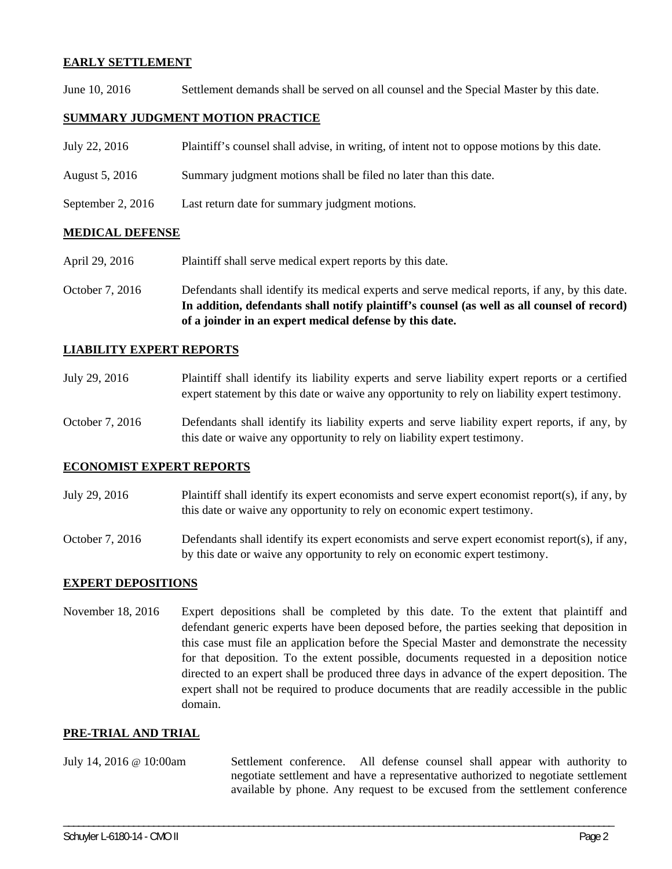## **EARLY SETTLEMENT**

June 10, 2016 Settlement demands shall be served on all counsel and the Special Master by this date.

## **SUMMARY JUDGMENT MOTION PRACTICE**

| July 22, 2016     | Plaintiff's counsel shall advise, in writing, of intent not to oppose motions by this date. |
|-------------------|---------------------------------------------------------------------------------------------|
| August 5, 2016    | Summary judgment motions shall be filed no later than this date.                            |
| September 2, 2016 | Last return date for summary judgment motions.                                              |

## **MEDICAL DEFENSE**

- April 29, 2016 Plaintiff shall serve medical expert reports by this date.
- October 7, 2016 Defendants shall identify its medical experts and serve medical reports, if any, by this date. **In addition, defendants shall notify plaintiff's counsel (as well as all counsel of record) of a joinder in an expert medical defense by this date.**

## **LIABILITY EXPERT REPORTS**

- July 29, 2016 Plaintiff shall identify its liability experts and serve liability expert reports or a certified expert statement by this date or waive any opportunity to rely on liability expert testimony.
- October 7, 2016 Defendants shall identify its liability experts and serve liability expert reports, if any, by this date or waive any opportunity to rely on liability expert testimony.

## **ECONOMIST EXPERT REPORTS**

- July 29, 2016 Plaintiff shall identify its expert economists and serve expert economist report(s), if any, by this date or waive any opportunity to rely on economic expert testimony.
- October 7, 2016 Defendants shall identify its expert economists and serve expert economist report(s), if any, by this date or waive any opportunity to rely on economic expert testimony.

## **EXPERT DEPOSITIONS**

November 18, 2016 Expert depositions shall be completed by this date. To the extent that plaintiff and defendant generic experts have been deposed before, the parties seeking that deposition in this case must file an application before the Special Master and demonstrate the necessity for that deposition. To the extent possible, documents requested in a deposition notice directed to an expert shall be produced three days in advance of the expert deposition. The expert shall not be required to produce documents that are readily accessible in the public domain.

## **PRE-TRIAL AND TRIAL**

July 14, 2016 @ 10:00am Settlement conference. All defense counsel shall appear with authority to negotiate settlement and have a representative authorized to negotiate settlement available by phone. Any request to be excused from the settlement conference

\_\_\_\_\_\_\_\_\_\_\_\_\_\_\_\_\_\_\_\_\_\_\_\_\_\_\_\_\_\_\_\_\_\_\_\_\_\_\_\_\_\_\_\_\_\_\_\_\_\_\_\_\_\_\_\_\_\_\_\_\_\_\_\_\_\_\_\_\_\_\_\_\_\_\_\_\_\_\_\_\_\_\_\_\_\_\_\_\_\_\_\_\_\_\_\_\_\_\_\_\_\_\_\_\_\_\_\_\_\_